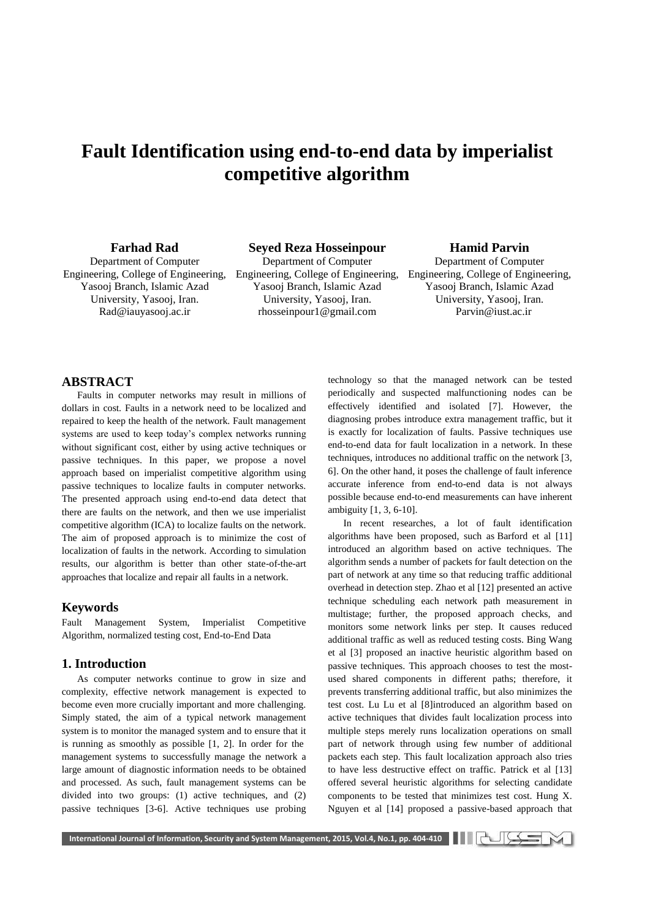# **Fault Identification using end-to-end data by imperialist competitive algorithm**

## **Farhad Rad**

Department of Computer Yasooj Branch, Islamic Azad University, Yasooj, Iran. [Rad@iauyasooj.ac.ir](mailto:Rad@iauyasooj.ac.ir)

## **Seyed Reza Hosseinpour**

Engineering, College of Engineering, Engineering, College of Engineering, Engineering, College of Engineering, Department of Computer Yasooj Branch, Islamic Azad University, Yasooj, Iran. [rhosseinpour1@gmail.com](mailto:rhosseinpour1@gmail.com)

## **Hamid Parvin**

Department of Computer Yasooj Branch, Islamic Azad University, Yasooj, Iran.  [Parvin@iust.ac.ir](mailto:Parvin@iust.ac.ir)

## **ABSTRACT**

Faults in computer networks may result in millions of dollars in cost. Faults in a network need to be localized and repaired to keep the health of the network. Fault management systems are used to keep today's complex networks running without significant cost, either by using active techniques or passive techniques. In this paper, we propose a novel approach based on imperialist competitive algorithm using passive techniques to localize faults in computer networks. The presented approach using end-to-end data detect that there are faults on the network, and then we use imperialist competitive algorithm (ICA) to localize faults on the network. The aim of proposed approach is to minimize the cost of localization of faults in the network. According to simulation results, our algorithm is better than other state-of-the-art approaches that localize and repair all faults in a network.

## **Keywords**

Fault Management System, Imperialist Competitive Algorithm, normalized testing cost, End-to-End Data

## **1. Introduction**

As computer networks continue to grow in size and complexity, effective network management is expected to become even more crucially important and more challenging. Simply stated, the aim of a typical network management system is to monitor the managed system and to ensure that it is running as smoothly as possible [1, 2]. In order for the management systems to successfully manage the network a large amount of diagnostic information needs to be obtained and processed. As such, fault management systems can be divided into two groups: (1) active techniques, and (2) passive techniques [3-6]. Active techniques use probing technology so that the managed network can be tested periodically and suspected malfunctioning nodes can be effectively identified and isolated [7]. However, the diagnosing probes introduce extra management traffic, but it is exactly for localization of faults. Passive techniques use end-to-end data for fault localization in a network. In these techniques, introduces no additional traffic on the network [3, 6]. On the other hand, it poses the challenge of fault inference accurate inference from end-to-end data is not always possible because end-to-end measurements can have inherent ambiguity [1, 3, 6-10].

In recent researches, a lot of fault identification algorithms have been proposed, such as Barford et al [11] introduced an algorithm based on active techniques. The algorithm sends a number of packets for fault detection on the part of network at any time so that reducing traffic additional overhead in detection step. Zhao et al [12] presented an active technique scheduling each network path measurement in multistage; further, the proposed approach checks, and monitors some network links per step. It causes reduced additional traffic as well as reduced testing costs. Bing Wang et al [3] proposed an inactive heuristic algorithm based on passive techniques. This approach chooses to test the mostused shared components in different paths; therefore, it prevents transferring additional traffic, but also minimizes the test cost. Lu Lu et al [8]introduced an algorithm based on active techniques that divides fault localization process into multiple steps merely runs localization operations on small part of network through using few number of additional packets each step. This fault localization approach also tries to have less destructive effect on traffic. Patrick et al [13] offered several heuristic algorithms for selecting candidate components to be tested that minimizes test cost. Hung X. Nguyen et al [14] proposed a passive-based approach that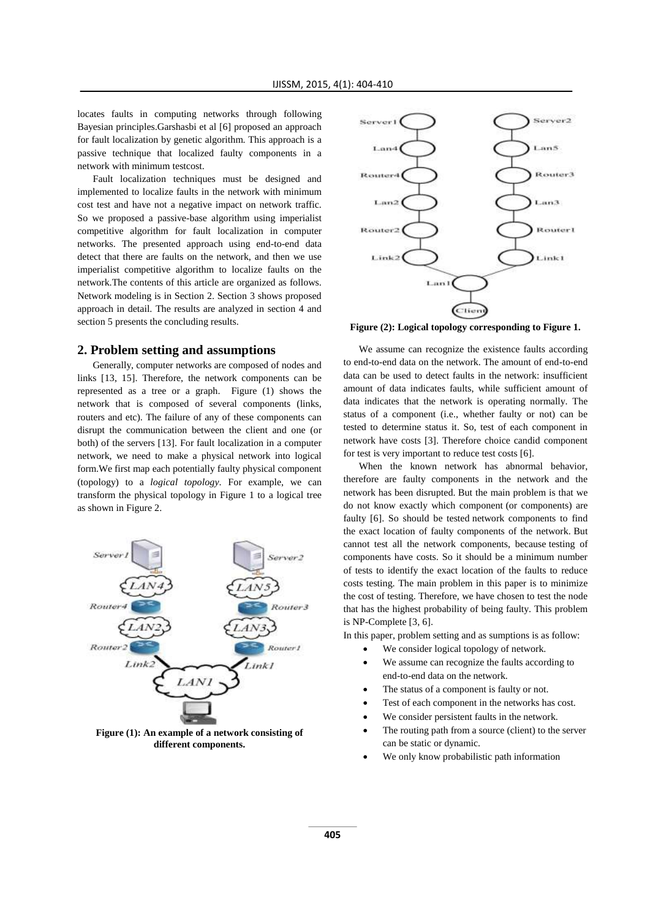locates faults in computing networks through following Bayesian principles.Garshasbi et al [6] proposed an approach for fault localization by genetic algorithm. This approach is a passive technique that localized faulty components in a network with minimum testcost.

Fault localization techniques must be designed and implemented to localize faults in the network with minimum cost test and have not a negative impact on network traffic. So we proposed a passive-base algorithm using imperialist competitive algorithm for fault localization in computer networks. The presented approach using end-to-end data detect that there are faults on the network, and then we use imperialist competitive algorithm to localize faults on the network.The contents of this article are organized as follows. Network modeling is in Section 2. Section 3 shows proposed approach in detail. The results are analyzed in section 4 and section 5 presents the concluding results.

#### **2. Problem setting and assumptions**

Generally, computer networks are composed of nodes and links [13, 15]. Therefore, the network components can be represented as a tree or a graph. Figure (1) shows the network that is composed of several components (links, routers and etc). The failure of any of these components can disrupt the communication between the client and one (or both) of the servers [13]. For fault localization in a computer network, we need to make a physical network into logical form.We first map each potentially faulty physical component (topology) to a *logical topology*. For example, we can transform the physical topology in Figure 1 to a logical tree as shown in Figure 2.



**Figure (1): An example of a network consisting of different components.**



**Figure (2): Logical topology corresponding to Figure 1.**

We assume can recognize the existence faults according to end-to-end data on the network. The amount of end-to-end data can be used to detect faults in the network: insufficient amount of data indicates faults, while sufficient amount of data indicates that the network is operating normally. The status of a component (i.e., whether faulty or not) can be tested to determine status it. So, test of each component in network have costs [3]. Therefore choice candid component for test is very important to reduce test costs [6].

When the known network has abnormal behavior, therefore are faulty components in the network and the network has been disrupted. But the main problem is that we do not know exactly which component (or components) are faulty [6]. So should be tested network components to find the exact location of faulty components of the network. But cannot test all the network components, because testing of components have costs. So it should be a minimum number of tests to identify the exact location of the faults to reduce costs testing. The main problem in this paper is to minimize the cost of testing. Therefore, we have chosen to test the node that has the highest probability of being faulty. This problem is NP-Complete [3, 6].

In this paper, problem setting and as sumptions is as follow:

- We consider logical topology of network.
- We assume can recognize the faults according to end-to-end data on the network.
- The status of a component is faulty or not.
- Test of each component in the networks has cost.
- We consider persistent faults in the network.
- The routing path from a source (client) to the server can be static or dynamic.
- We only know probabilistic path information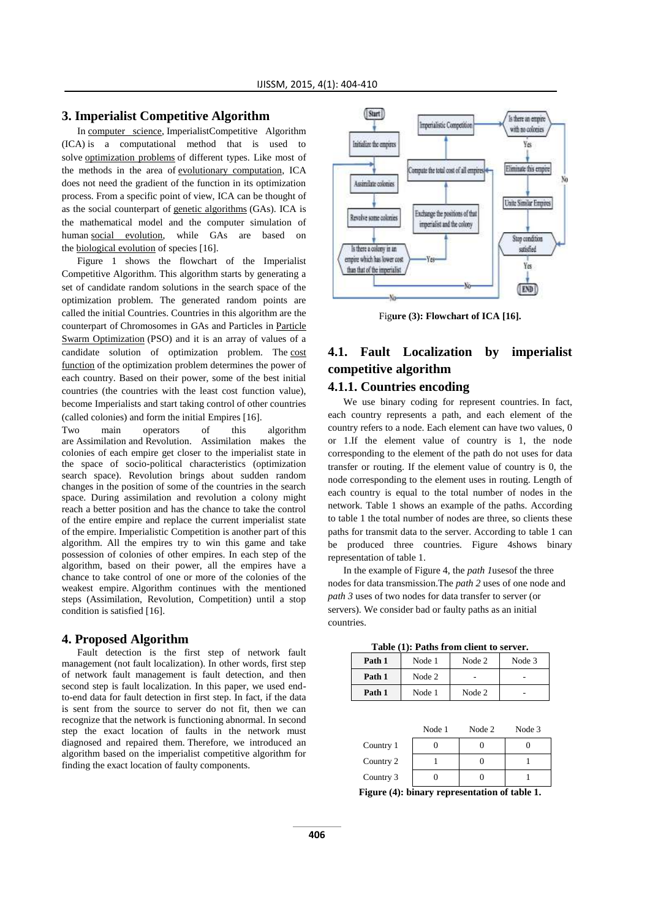## **3. Imperialist Competitive Algorithm**

In [computer science,](http://en.wikipedia.org/wiki/Computer_science) ImperialistCompetitive Algorithm (ICA) is a computational method that is used to solve [optimization problems](http://en.wikipedia.org/wiki/Optimization_problem) of different types. Like most of the methods in the area of [evolutionary computation,](http://en.wikipedia.org/wiki/Evolutionary_computation) ICA does not need the gradient of the function in its optimization process. From a specific point of view, ICA can be thought of as the social counterpart of [genetic algorithms](http://en.wikipedia.org/wiki/Genetic_algorithms) (GAs). ICA is the mathematical model and the computer simulation of huma[n](http://en.wikipedia.org/wiki/Social_evolution) [social evolution,](http://en.wikipedia.org/wiki/Social_evolution) while GAs are based on the [biological evolution](http://en.wikipedia.org/wiki/Biological_evolution) of species [16].

Figure 1 shows the flowchart of the Imperialist Competitive Algorithm. This algorithm starts by generating a set of candidate random solutions in the search space of the optimization problem. The generated random points are called the initial Countries. Countries in this algorithm are the counterpart of Chromosomes in GAs and Particles in [Particle](http://en.wikipedia.org/wiki/Particle_Swarm_Optimization)  [Swarm Optimization](http://en.wikipedia.org/wiki/Particle_Swarm_Optimization) (PSO) and it is an array of values of a candidate solution of optimization problem. The [cost](http://en.wikipedia.org/wiki/Loss_function)  [function](http://en.wikipedia.org/wiki/Loss_function) of the optimization problem determines the power of each country. Based on their power, some of the best initial countries (the countries with the least cost function value), become Imperialists and start taking control of other countries (called colonies) and form the initial Empires [16].

Two main operators of this algorithm are Assimilation and Revolution. Assimilation makes the colonies of each empire get closer to the imperialist state in the space of socio-political characteristics (optimization search space). Revolution brings about sudden random changes in the position of some of the countries in the search space. During assimilation and revolution a colony might reach a better position and has the chance to take the control of the entire empire and replace the current imperialist state of the empire. Imperialistic Competition is another part of this algorithm. All the empires try to win this game and take possession of colonies of other empires. In each step of the algorithm, based on their power, all the empires have a chance to take control of one or more of the colonies of the weakest empire. Algorithm continues with the mentioned steps (Assimilation, Revolution, Competition) until a stop condition is satisfied [16].

#### **4. Proposed Algorithm**

Fault detection is the first step of network fault management (not fault localization). In other words, first step of network fault management is fault detection, and then second step is fault localization. In this paper, we used endto-end data for fault detection in first step. In fact, if the data is sent from the source to server do not fit, then we can recognize that the network is functioning abnormal. In second step the exact location of faults in the network must diagnosed and repaired them. Therefore, we introduced an algorithm based on the imperialist competitive algorithm for finding the exact location of faulty components.



Fig**ure (3): Flowchart of ICA [16].**

## **4.1. Fault Localization by imperialist competitive algorithm**

## **4.1.1. Countries encoding**

We use binary coding for represent countries. In fact, each country represents a path, and each element of the country refers to a node. Each element can have two values, 0 or 1.If the element value of country is 1, the node corresponding to the element of the path do not uses for data transfer or routing. If the element value of country is 0, the node corresponding to the element uses in routing. Length of each country is equal to the total number of nodes in the network. Table 1 shows an example of the paths. According to table 1 the total number of nodes are three, so clients these paths for transmit data to the server. According to table 1 can be produced three countries. Figure 4shows binary representation of table 1.

In the example of Figure 4, the *path 1*usesof the three nodes for data transmission.The *path 2* uses of one node and *path 3* uses of two nodes for data transfer to server (or servers). We consider bad or faulty paths as an initial countries.

| Table (1): Paths from client to server. |  |  |  |  |
|-----------------------------------------|--|--|--|--|
|-----------------------------------------|--|--|--|--|

| Path 1 | Node 1 | Node 2 | Node 3 |
|--------|--------|--------|--------|
| Path 1 | Node 2 |        |        |
| Path 1 | Node 1 | Node 2 |        |

|           | Node 1 | Node 2 | Node 3 |
|-----------|--------|--------|--------|
| Country 1 |        |        |        |
| Country 2 |        |        |        |
| Country 3 |        |        |        |

**Figure (4): binary representation of table 1.**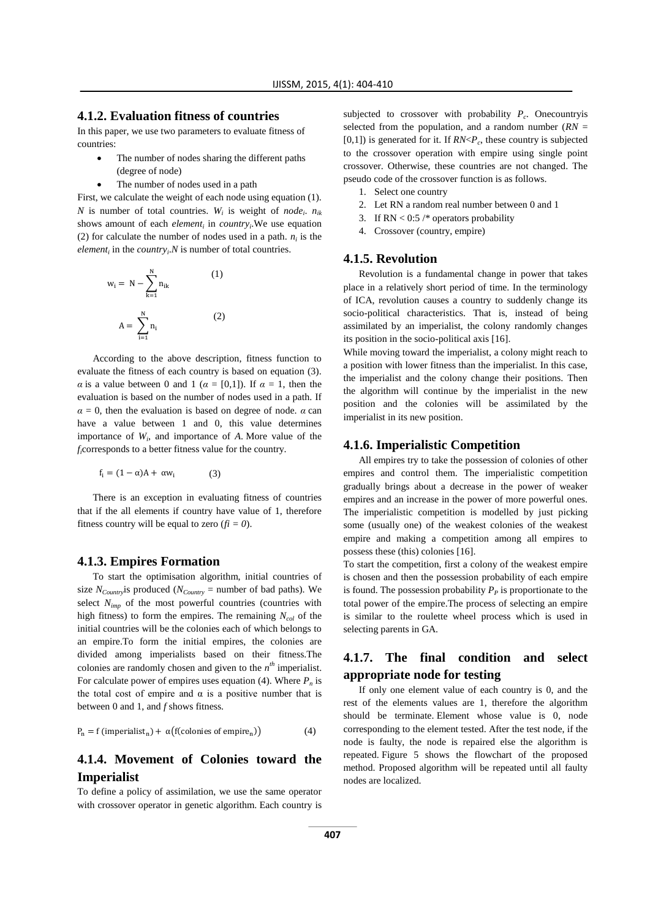## **4.1.2. Evaluation fitness of countries**

In this paper, we use two parameters to evaluate fitness of countries:

- The number of nodes sharing the different paths (degree of node)
- The number of nodes used in a path

First, we calculate the weight of each node using equation (1). *N* is number of total countries.  $W_i$  is weight of *node<sub>i</sub>*.  $n_{ik}$ shows amount of each *element<sup>i</sup>* in *country<sup>i</sup>* .We use equation (2) for calculate the number of nodes used in a path.  $n_i$  is the *element<sup>i</sup>* in the *country<sup>i</sup>* .*N* is number of total countries.

$$
w_{i} = N - \sum_{k=1}^{N} n_{ik}
$$
 (1)  

$$
A = \sum_{i=1}^{N} n_{i}
$$
 (2)

According to the above description, fitness function to evaluate the fitness of each country is based on equation (3). *α* is a value between 0 and 1 ( $\alpha = [0,1]$ ). If  $\alpha = 1$ , then the evaluation is based on the number of nodes used in a path. If  $\alpha = 0$ , then the evaluation is based on degree of node.  $\alpha$  can have a value between 1 and 0, this value determines importance of *W<sup>i</sup>* , and importance of *A*. More value of the *fi*corresponds to a better fitness value for the country.

$$
f_i = (1 - \alpha)A + \alpha w_i \tag{3}
$$

There is an exception in evaluating fitness of countries that if the all elements if country have value of 1, therefore fitness country will be equal to zero  $(f_i = 0)$ .

## **4.1.3. Empires Formation**

To start the optimisation algorithm, initial countries of size  $N_{Country}$ is produced ( $N_{Country}$  = number of bad paths). We select *Nimp* of the most powerful countries (countries with high fitness) to form the empires. The remaining  $N_{col}$  of the initial countries will be the colonies each of which belongs to an empire.To form the initial empires, the colonies are divided among imperialists based on their fitness.The colonies are randomly chosen and given to the  $n<sup>th</sup>$  imperialist. For calculate power of empires uses equation (4). Where *P<sup>n</sup>* is the total cost of empire and  $\alpha$  is a positive number that is between 0 and 1, and *f* shows fitness.

$$
P_n = f (imperialist_n) + \alpha(f(colonies of empire_n))
$$
 (4)

## **4.1.4. Movement of Colonies toward the Imperialist**

To define a policy of assimilation, we use the same operator with crossover operator in genetic algorithm. Each country is

subjected to crossover with probability  $P_c$ . Onecountryis selected from the population, and a random number (*RN* =  $[0,1]$ ) is generated for it. If  $RN < P_c$ , these country is subjected to the crossover operation with empire using single point crossover. Otherwise, these countries are not changed. The pseudo code of the crossover function is as follows.

- 1. Select one country
- 2. Let RN a random real number between 0 and 1
- 3. If  $RN < 0.5$  /\* operators probability
- 4. Crossover (country, empire)

## **4.1.5. Revolution**

Revolution is a fundamental change in power that takes place in a relatively short period of time. In the terminology of ICA, revolution causes a country to suddenly change its socio-political characteristics. That is, instead of being assimilated by an imperialist, the colony randomly changes its position in the socio-political axis [16].

While moving toward the imperialist, a colony might reach to a position with lower fitness than the imperialist. In this case, the imperialist and the colony change their positions. Then the algorithm will continue by the imperialist in the new position and the colonies will be assimilated by the imperialist in its new position.

#### **4.1.6. Imperialistic Competition**

All empires try to take the possession of colonies of other empires and control them. The imperialistic competition gradually brings about a decrease in the power of weaker empires and an increase in the power of more powerful ones. The imperialistic competition is modelled by just picking some (usually one) of the weakest colonies of the weakest empire and making a competition among all empires to possess these (this) colonies [16].

To start the competition, first a colony of the weakest empire is chosen and then the possession probability of each empire is found. The possession probability  $P<sub>P</sub>$  is proportionate to the total power of the empire.The process of selecting an empire is similar to the roulette wheel process which is used in selecting parents in GA.

## **4.1.7. The final condition and select appropriate node for testing**

If only one element value of each country is 0, and the rest of the elements values are 1, therefore the algorithm should be terminate. Element whose value is 0, node corresponding to the element tested. After the test node, if the node is faulty, the node is repaired else the algorithm is repeated. Figure 5 shows the flowchart of the proposed method. Proposed algorithm will be repeated until all faulty nodes are localized.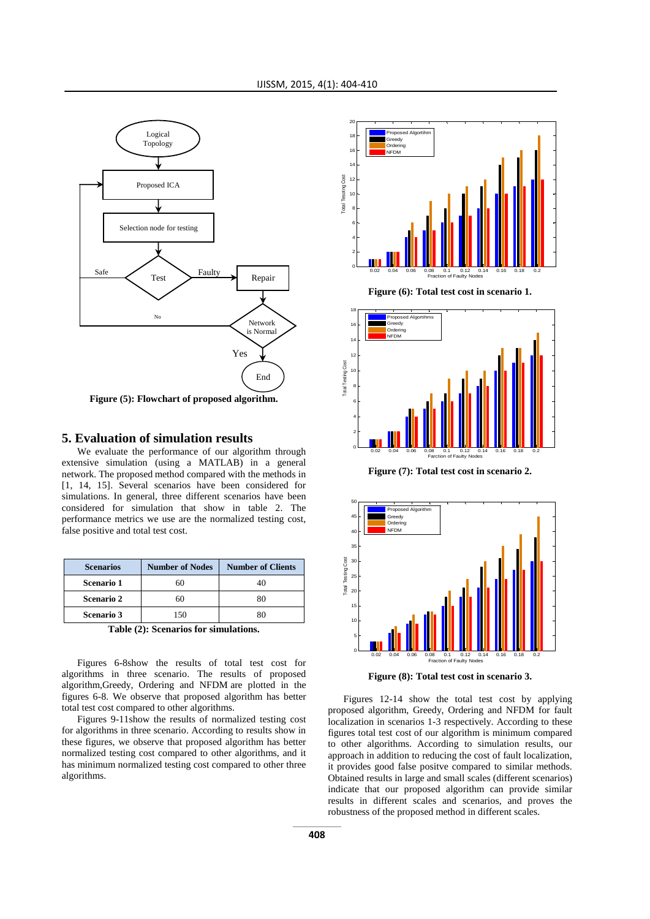

**Figure (5): Flowchart of proposed algorithm.**

## **5. Evaluation of simulation results**

We evaluate the performance of our algorithm through extensive simulation (using a MATLAB) in a general network. The proposed method compared with the methods in [1, 14, 15]. Several scenarios have been considered for simulations. In general, three different scenarios have been considered for simulation that show in table 2. The performance metrics we use are the normalized testing cost, false positive and total test cost.

| <b>Scenarios</b>                                                                    | <b>Number of Nodes</b> | <b>Number of Clients</b> |  |
|-------------------------------------------------------------------------------------|------------------------|--------------------------|--|
| Scenario 1                                                                          | 60                     |                          |  |
| <b>Scenario 2</b>                                                                   | 60                     |                          |  |
| <b>Scenario 3</b>                                                                   | 150                    |                          |  |
| $\sim$ $\sim$ $\sim$ $\sim$ $\sim$<br>$\bullet$<br>$\mathbf{r}$<br>$\bullet$<br>. . |                        |                          |  |

**Table (2): Scenarios for simulations.**

Figures 6-8show the results of total test cost for algorithms in three scenario. The results of proposed algorithm,Greedy, Ordering and NFDM are plotted in the figures 6-8. We observe that proposed algorithm has better total test cost compared to other algorithms.

Figures 9-11show the results of normalized testing cost for algorithms in three scenario. According to results show in these figures, we observe that proposed algorithm has better normalized testing cost compared to other algorithms, and it has minimum normalized testing cost compared to other three algorithms.



**Figure (6): Total test cost in scenario 1.**



**Figure (7): Total test cost in scenario 2.**



**Figure (8): Total test cost in scenario 3.**

Figures 12-14 show the total test cost by applying proposed algorithm, Greedy, Ordering and NFDM for fault localization in scenarios 1-3 respectively. According to these figures total test cost of our algorithm is minimum compared to other algorithms. According to simulation results, our approach in addition to reducing the cost of fault localization, it provides good false positve compared to similar methods. Obtained results in large and small scales (different scenarios) indicate that our proposed algorithm can provide similar results in different scales and scenarios, and proves the robustness of the proposed method in different scales.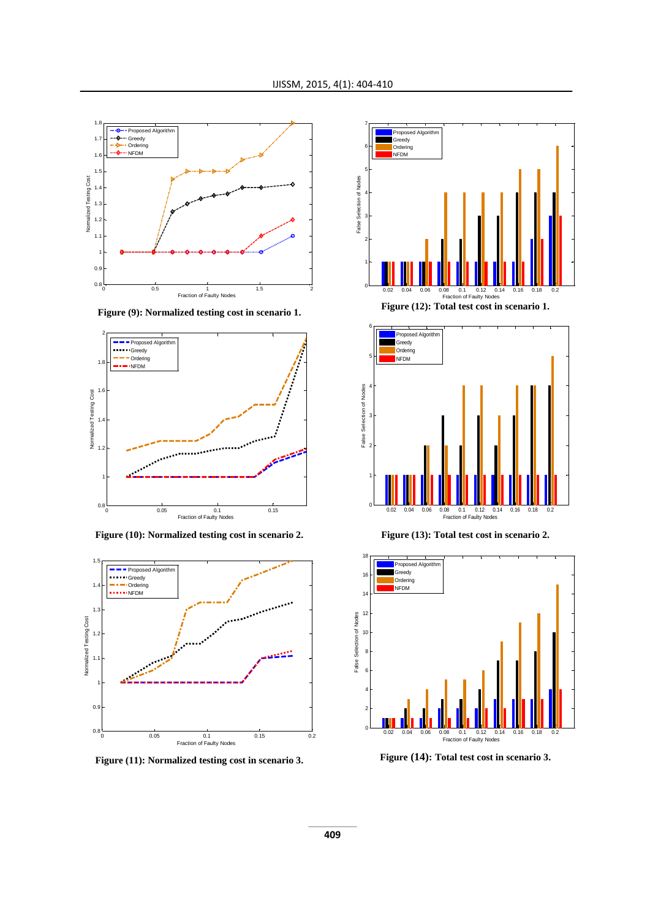

**Figure (9): Normalized testing cost in scenario 1.**



**Figure (10): Normalized testing cost in scenario 2.**



**Figure (11): Normalized testing cost in scenario 3.**





**Figure (13): Total test cost in scenario 2.**



**Figure (14): Total test cost in scenario 3.**